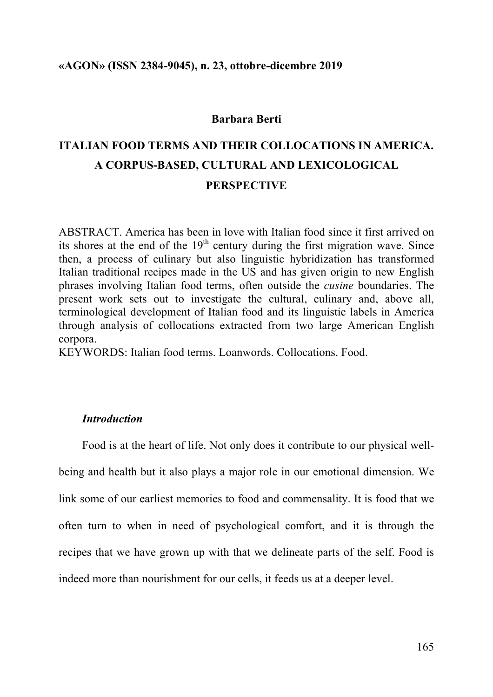#### **Barbara Berti**

# **ITALIAN FOOD TERMS AND THEIR COLLOCATIONS IN AMERICA. A CORPUS-BASED, CULTURAL AND LEXICOLOGICAL PERSPECTIVE**

ABSTRACT. America has been in love with Italian food since it first arrived on its shores at the end of the  $19<sup>th</sup>$  century during the first migration wave. Since then, a process of culinary but also linguistic hybridization has transformed Italian traditional recipes made in the US and has given origin to new English phrases involving Italian food terms, often outside the *cusine* boundaries. The present work sets out to investigate the cultural, culinary and, above all, terminological development of Italian food and its linguistic labels in America through analysis of collocations extracted from two large American English corpora.

KEYWORDS: Italian food terms. Loanwords. Collocations. Food.

# *Introduction*

Food is at the heart of life. Not only does it contribute to our physical wellbeing and health but it also plays a major role in our emotional dimension. We link some of our earliest memories to food and commensality. It is food that we often turn to when in need of psychological comfort, and it is through the recipes that we have grown up with that we delineate parts of the self. Food is indeed more than nourishment for our cells, it feeds us at a deeper level.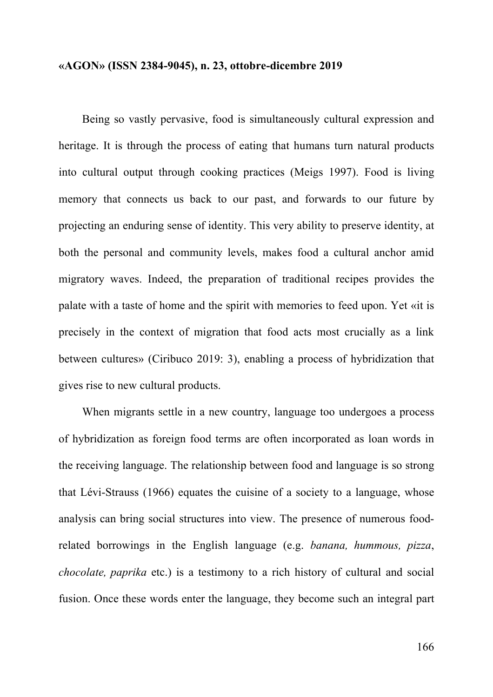Being so vastly pervasive, food is simultaneously cultural expression and heritage. It is through the process of eating that humans turn natural products into cultural output through cooking practices (Meigs 1997). Food is living memory that connects us back to our past, and forwards to our future by projecting an enduring sense of identity. This very ability to preserve identity, at both the personal and community levels, makes food a cultural anchor amid migratory waves. Indeed, the preparation of traditional recipes provides the palate with a taste of home and the spirit with memories to feed upon. Yet «it is precisely in the context of migration that food acts most crucially as a link between cultures» (Ciribuco 2019: 3), enabling a process of hybridization that gives rise to new cultural products.

When migrants settle in a new country, language too undergoes a process of hybridization as foreign food terms are often incorporated as loan words in the receiving language. The relationship between food and language is so strong that Lévi-Strauss (1966) equates the cuisine of a society to a language, whose analysis can bring social structures into view. The presence of numerous foodrelated borrowings in the English language (e.g. *banana, hummous, pizza*, *chocolate, paprika* etc.) is a testimony to a rich history of cultural and social fusion. Once these words enter the language, they become such an integral part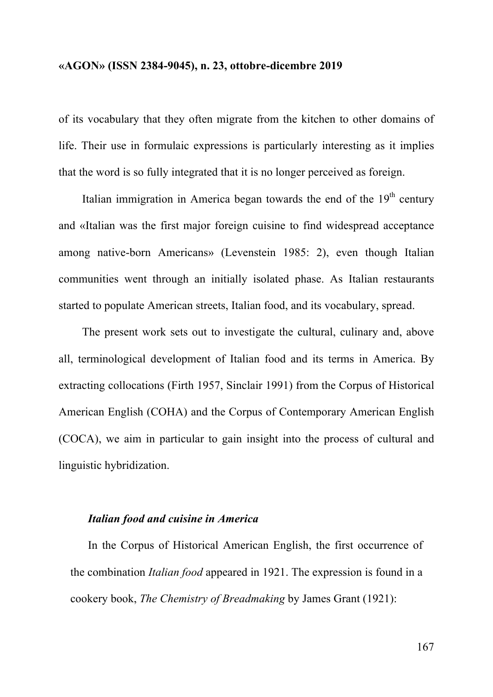of its vocabulary that they often migrate from the kitchen to other domains of life. Their use in formulaic expressions is particularly interesting as it implies that the word is so fully integrated that it is no longer perceived as foreign.

Italian immigration in America began towards the end of the  $19<sup>th</sup>$  century and «Italian was the first major foreign cuisine to find widespread acceptance among native-born Americans» (Levenstein 1985: 2), even though Italian communities went through an initially isolated phase. As Italian restaurants started to populate American streets, Italian food, and its vocabulary, spread.

The present work sets out to investigate the cultural, culinary and, above all, terminological development of Italian food and its terms in America. By extracting collocations (Firth 1957, Sinclair 1991) from the Corpus of Historical American English (COHA) and the Corpus of Contemporary American English (COCA), we aim in particular to gain insight into the process of cultural and linguistic hybridization.

## *Italian food and cuisine in America*

In the Corpus of Historical American English, the first occurrence of the combination *Italian food* appeared in 1921. The expression is found in a cookery book, *The Chemistry of Breadmaking* by James Grant (1921):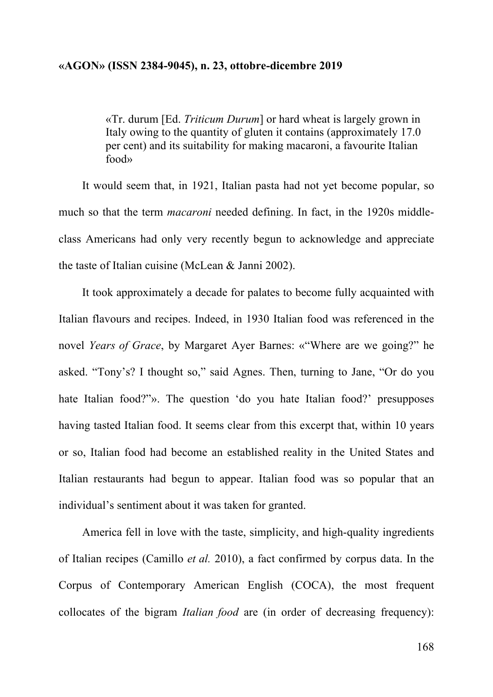«Tr. durum [Ed. *Triticum Durum*] or hard wheat is largely grown in Italy owing to the quantity of gluten it contains (approximately 17.0 per cent) and its suitability for making macaroni, a favourite Italian food»

It would seem that, in 1921, Italian pasta had not yet become popular, so much so that the term *macaroni* needed defining. In fact, in the 1920s middleclass Americans had only very recently begun to acknowledge and appreciate the taste of Italian cuisine (McLean & Janni 2002).

It took approximately a decade for palates to become fully acquainted with Italian flavours and recipes. Indeed, in 1930 Italian food was referenced in the novel *Years of Grace*, by Margaret Ayer Barnes: «"Where are we going?" he asked. "Tony's? I thought so," said Agnes. Then, turning to Jane, "Or do you hate Italian food?"». The question 'do you hate Italian food?' presupposes having tasted Italian food. It seems clear from this excerpt that, within 10 years or so, Italian food had become an established reality in the United States and Italian restaurants had begun to appear. Italian food was so popular that an individual's sentiment about it was taken for granted.

America fell in love with the taste, simplicity, and high-quality ingredients of Italian recipes (Camillo *et al.* 2010), a fact confirmed by corpus data. In the Corpus of Contemporary American English (COCA), the most frequent collocates of the bigram *Italian food* are (in order of decreasing frequency):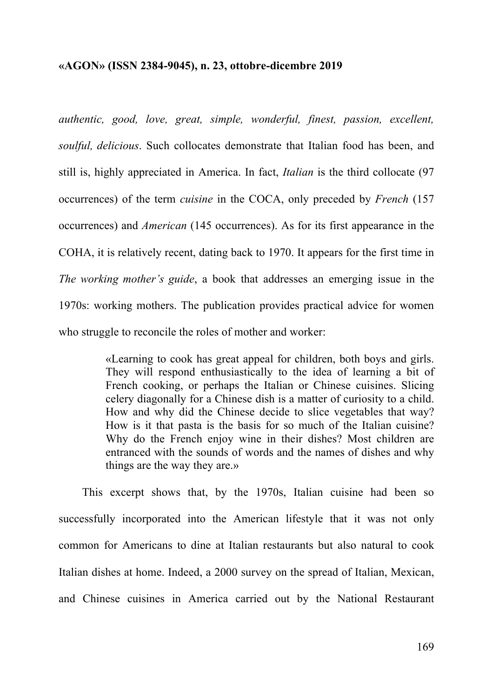*authentic, good, love, great, simple, wonderful, finest, passion, excellent, soulful, delicious*. Such collocates demonstrate that Italian food has been, and still is, highly appreciated in America. In fact, *Italian* is the third collocate (97 occurrences) of the term *cuisine* in the COCA, only preceded by *French* (157 occurrences) and *American* (145 occurrences). As for its first appearance in the COHA, it is relatively recent, dating back to 1970. It appears for the first time in *The working mother's guide*, a book that addresses an emerging issue in the 1970s: working mothers. The publication provides practical advice for women who struggle to reconcile the roles of mother and worker:

> «Learning to cook has great appeal for children, both boys and girls. They will respond enthusiastically to the idea of learning a bit of French cooking, or perhaps the Italian or Chinese cuisines. Slicing celery diagonally for a Chinese dish is a matter of curiosity to a child. How and why did the Chinese decide to slice vegetables that way? How is it that pasta is the basis for so much of the Italian cuisine? Why do the French enjoy wine in their dishes? Most children are entranced with the sounds of words and the names of dishes and why things are the way they are.»

This excerpt shows that, by the 1970s, Italian cuisine had been so successfully incorporated into the American lifestyle that it was not only common for Americans to dine at Italian restaurants but also natural to cook Italian dishes at home. Indeed, a 2000 survey on the spread of Italian, Mexican, and Chinese cuisines in America carried out by the National Restaurant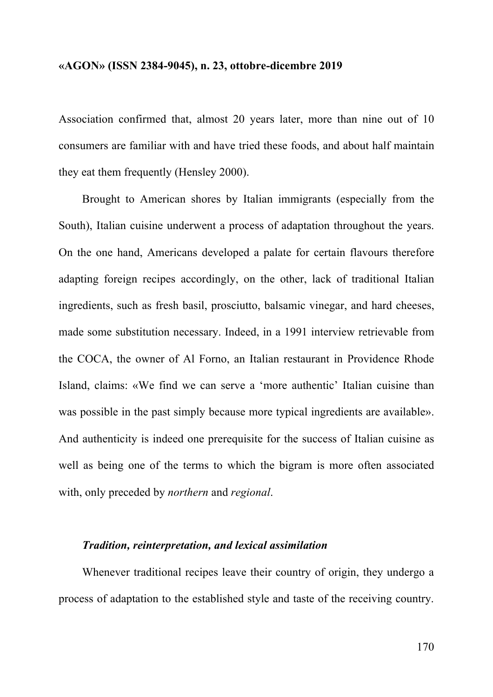Association confirmed that, almost 20 years later, more than nine out of 10 consumers are familiar with and have tried these foods, and about half maintain they eat them frequently (Hensley 2000).

Brought to American shores by Italian immigrants (especially from the South), Italian cuisine underwent a process of adaptation throughout the years. On the one hand, Americans developed a palate for certain flavours therefore adapting foreign recipes accordingly, on the other, lack of traditional Italian ingredients, such as fresh basil, prosciutto, balsamic vinegar, and hard cheeses, made some substitution necessary. Indeed, in a 1991 interview retrievable from the COCA, the owner of Al Forno, an Italian restaurant in Providence Rhode Island, claims: «We find we can serve a 'more authentic' Italian cuisine than was possible in the past simply because more typical ingredients are available». And authenticity is indeed one prerequisite for the success of Italian cuisine as well as being one of the terms to which the bigram is more often associated with, only preceded by *northern* and *regional*.

#### *Tradition, reinterpretation, and lexical assimilation*

Whenever traditional recipes leave their country of origin, they undergo a process of adaptation to the established style and taste of the receiving country.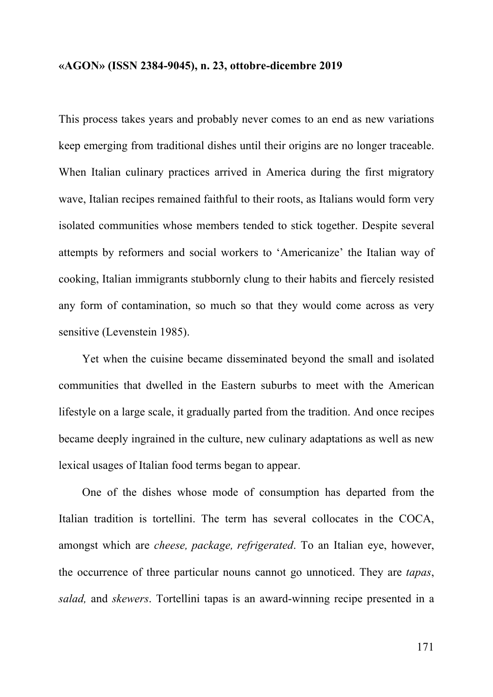This process takes years and probably never comes to an end as new variations keep emerging from traditional dishes until their origins are no longer traceable. When Italian culinary practices arrived in America during the first migratory wave, Italian recipes remained faithful to their roots, as Italians would form very isolated communities whose members tended to stick together. Despite several attempts by reformers and social workers to 'Americanize' the Italian way of cooking, Italian immigrants stubbornly clung to their habits and fiercely resisted any form of contamination, so much so that they would come across as very sensitive (Levenstein 1985).

Yet when the cuisine became disseminated beyond the small and isolated communities that dwelled in the Eastern suburbs to meet with the American lifestyle on a large scale, it gradually parted from the tradition. And once recipes became deeply ingrained in the culture, new culinary adaptations as well as new lexical usages of Italian food terms began to appear.

One of the dishes whose mode of consumption has departed from the Italian tradition is tortellini. The term has several collocates in the COCA, amongst which are *cheese, package, refrigerated*. To an Italian eye, however, the occurrence of three particular nouns cannot go unnoticed. They are *tapas*, *salad,* and *skewers*. Tortellini tapas is an award-winning recipe presented in a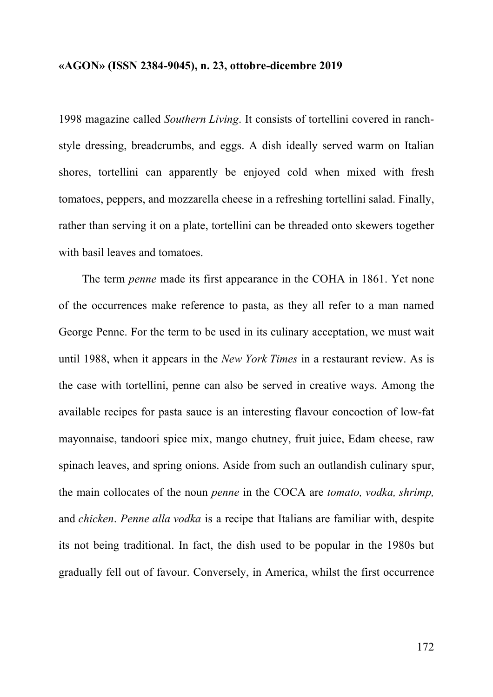1998 magazine called *Southern Living*. It consists of tortellini covered in ranchstyle dressing, breadcrumbs, and eggs. A dish ideally served warm on Italian shores, tortellini can apparently be enjoyed cold when mixed with fresh tomatoes, peppers, and mozzarella cheese in a refreshing tortellini salad. Finally, rather than serving it on a plate, tortellini can be threaded onto skewers together with basil leaves and tomatoes.

The term *penne* made its first appearance in the COHA in 1861. Yet none of the occurrences make reference to pasta, as they all refer to a man named George Penne. For the term to be used in its culinary acceptation, we must wait until 1988, when it appears in the *New York Times* in a restaurant review. As is the case with tortellini, penne can also be served in creative ways. Among the available recipes for pasta sauce is an interesting flavour concoction of low-fat mayonnaise, tandoori spice mix, mango chutney, fruit juice, Edam cheese, raw spinach leaves, and spring onions. Aside from such an outlandish culinary spur, the main collocates of the noun *penne* in the COCA are *tomato, vodka, shrimp,*  and *chicken*. *Penne alla vodka* is a recipe that Italians are familiar with, despite its not being traditional. In fact, the dish used to be popular in the 1980s but gradually fell out of favour. Conversely, in America, whilst the first occurrence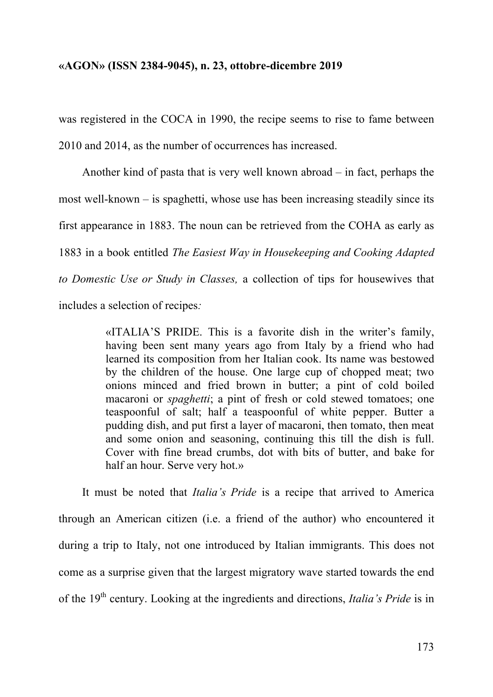was registered in the COCA in 1990, the recipe seems to rise to fame between 2010 and 2014, as the number of occurrences has increased.

Another kind of pasta that is very well known abroad – in fact, perhaps the most well-known – is spaghetti, whose use has been increasing steadily since its first appearance in 1883. The noun can be retrieved from the COHA as early as 1883 in a book entitled *The Easiest Way in Housekeeping and Cooking Adapted to Domestic Use or Study in Classes,* a collection of tips for housewives that includes a selection of recipes*:*

> «ITALIA'S PRIDE. This is a favorite dish in the writer's family, having been sent many years ago from Italy by a friend who had learned its composition from her Italian cook. Its name was bestowed by the children of the house. One large cup of chopped meat; two onions minced and fried brown in butter; a pint of cold boiled macaroni or *spaghetti*; a pint of fresh or cold stewed tomatoes; one teaspoonful of salt; half a teaspoonful of white pepper. Butter a pudding dish, and put first a layer of macaroni, then tomato, then meat and some onion and seasoning, continuing this till the dish is full. Cover with fine bread crumbs, dot with bits of butter, and bake for half an hour. Serve very hot.»

It must be noted that *Italia's Pride* is a recipe that arrived to America through an American citizen (i.e. a friend of the author) who encountered it during a trip to Italy, not one introduced by Italian immigrants. This does not come as a surprise given that the largest migratory wave started towards the end of the 19<sup>th</sup> century. Looking at the ingredients and directions, *Italia's Pride* is in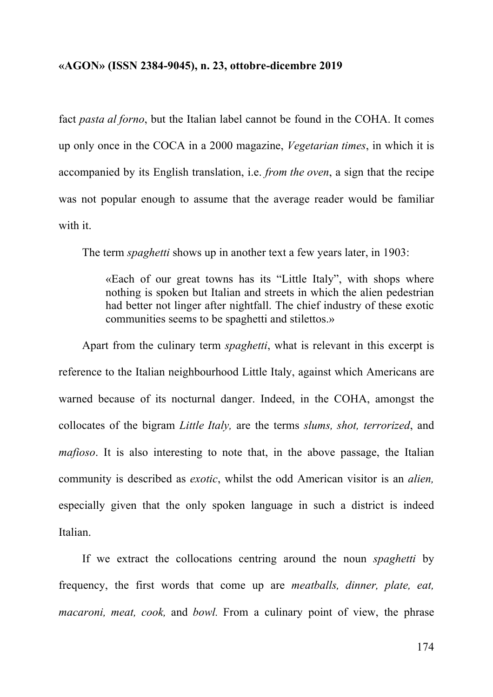fact *pasta al forno*, but the Italian label cannot be found in the COHA. It comes up only once in the COCA in a 2000 magazine, *Vegetarian times*, in which it is accompanied by its English translation, i.e. *from the oven*, a sign that the recipe was not popular enough to assume that the average reader would be familiar with it.

The term *spaghetti* shows up in another text a few years later, in 1903:

«Each of our great towns has its "Little Italy", with shops where nothing is spoken but Italian and streets in which the alien pedestrian had better not linger after nightfall. The chief industry of these exotic communities seems to be spaghetti and stilettos.»

Apart from the culinary term *spaghetti*, what is relevant in this excerpt is reference to the Italian neighbourhood Little Italy, against which Americans are warned because of its nocturnal danger. Indeed, in the COHA, amongst the collocates of the bigram *Little Italy,* are the terms *slums, shot, terrorized*, and *mafioso*. It is also interesting to note that, in the above passage, the Italian community is described as *exotic*, whilst the odd American visitor is an *alien,*  especially given that the only spoken language in such a district is indeed Italian.

If we extract the collocations centring around the noun *spaghetti* by frequency, the first words that come up are *meatballs, dinner, plate, eat, macaroni, meat, cook, and bowl.* From a culinary point of view, the phrase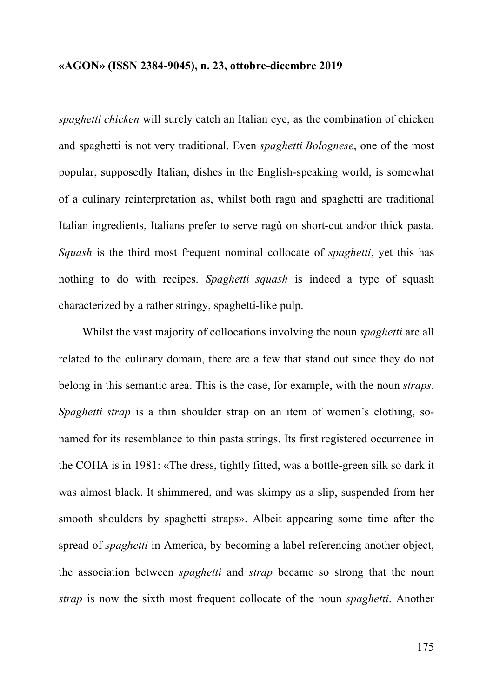*spaghetti chicken* will surely catch an Italian eye, as the combination of chicken and spaghetti is not very traditional. Even *spaghetti Bolognese*, one of the most popular, supposedly Italian, dishes in the English-speaking world, is somewhat of a culinary reinterpretation as, whilst both ragù and spaghetti are traditional Italian ingredients, Italians prefer to serve ragù on short-cut and/or thick pasta. *Squash* is the third most frequent nominal collocate of *spaghetti*, yet this has nothing to do with recipes. *Spaghetti squash* is indeed a type of squash characterized by a rather stringy, spaghetti-like pulp.

Whilst the vast majority of collocations involving the noun *spaghetti* are all related to the culinary domain, there are a few that stand out since they do not belong in this semantic area. This is the case, for example, with the noun *straps*. *Spaghetti strap* is a thin shoulder strap on an item of women's clothing, sonamed for its resemblance to thin pasta strings. Its first registered occurrence in the COHA is in 1981: «The dress, tightly fitted, was a bottle-green silk so dark it was almost black. It shimmered, and was skimpy as a slip, suspended from her smooth shoulders by spaghetti straps». Albeit appearing some time after the spread of *spaghetti* in America, by becoming a label referencing another object, the association between *spaghetti* and *strap* became so strong that the noun *strap* is now the sixth most frequent collocate of the noun *spaghetti*. Another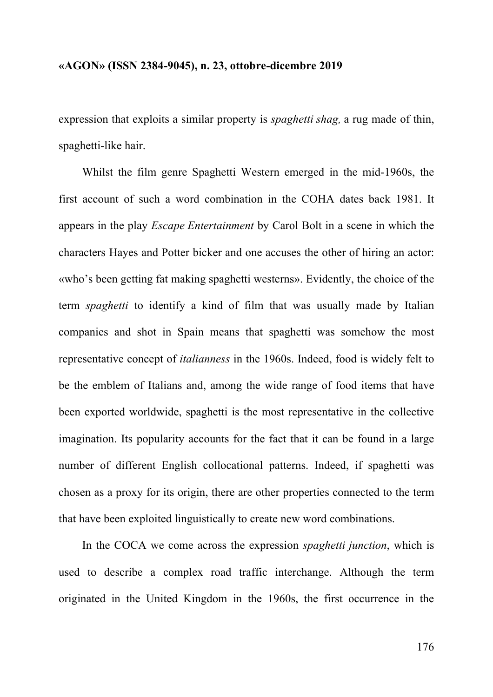expression that exploits a similar property is *spaghetti shag,* a rug made of thin, spaghetti-like hair.

Whilst the film genre Spaghetti Western emerged in the mid-1960s, the first account of such a word combination in the COHA dates back 1981. It appears in the play *Escape Entertainment* by Carol Bolt in a scene in which the characters Hayes and Potter bicker and one accuses the other of hiring an actor: «who's been getting fat making spaghetti westerns». Evidently, the choice of the term *spaghetti* to identify a kind of film that was usually made by Italian companies and shot in Spain means that spaghetti was somehow the most representative concept of *italianness* in the 1960s. Indeed, food is widely felt to be the emblem of Italians and, among the wide range of food items that have been exported worldwide, spaghetti is the most representative in the collective imagination. Its popularity accounts for the fact that it can be found in a large number of different English collocational patterns. Indeed, if spaghetti was chosen as a proxy for its origin, there are other properties connected to the term that have been exploited linguistically to create new word combinations.

In the COCA we come across the expression *spaghetti junction*, which is used to describe a complex road traffic interchange. Although the term originated in the United Kingdom in the 1960s, the first occurrence in the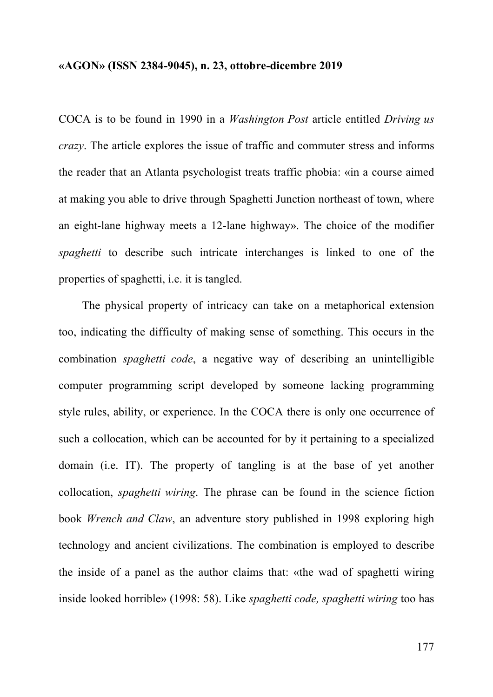COCA is to be found in 1990 in a *Washington Post* article entitled *Driving us crazy*. The article explores the issue of traffic and commuter stress and informs the reader that an Atlanta psychologist treats traffic phobia: «in a course aimed at making you able to drive through Spaghetti Junction northeast of town, where an eight-lane highway meets a 12-lane highway». The choice of the modifier *spaghetti* to describe such intricate interchanges is linked to one of the properties of spaghetti, i.e. it is tangled.

The physical property of intricacy can take on a metaphorical extension too, indicating the difficulty of making sense of something. This occurs in the combination *spaghetti code*, a negative way of describing an unintelligible computer programming script developed by someone lacking programming style rules, ability, or experience. In the COCA there is only one occurrence of such a collocation, which can be accounted for by it pertaining to a specialized domain (i.e. IT). The property of tangling is at the base of yet another collocation, *spaghetti wiring*. The phrase can be found in the science fiction book *Wrench and Claw*, an adventure story published in 1998 exploring high technology and ancient civilizations. The combination is employed to describe the inside of a panel as the author claims that: «the wad of spaghetti wiring inside looked horrible» (1998: 58). Like *spaghetti code, spaghetti wiring* too has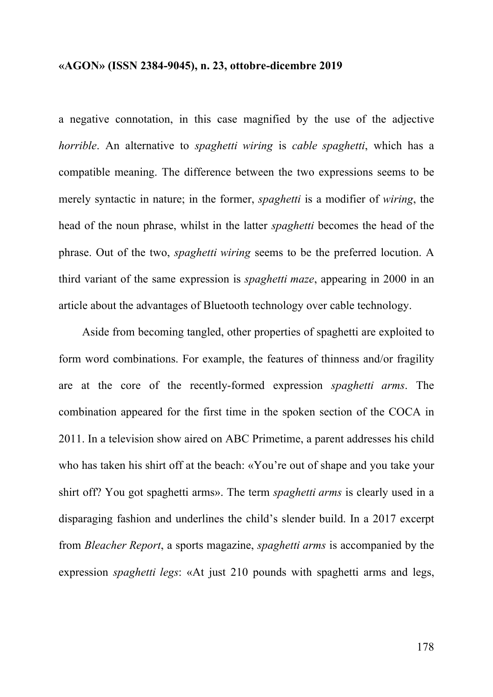a negative connotation, in this case magnified by the use of the adjective *horrible*. An alternative to *spaghetti wiring* is *cable spaghetti*, which has a compatible meaning. The difference between the two expressions seems to be merely syntactic in nature; in the former, *spaghetti* is a modifier of *wiring*, the head of the noun phrase, whilst in the latter *spaghetti* becomes the head of the phrase. Out of the two, *spaghetti wiring* seems to be the preferred locution. A third variant of the same expression is *spaghetti maze*, appearing in 2000 in an article about the advantages of Bluetooth technology over cable technology.

Aside from becoming tangled, other properties of spaghetti are exploited to form word combinations. For example, the features of thinness and/or fragility are at the core of the recently-formed expression *spaghetti arms*. The combination appeared for the first time in the spoken section of the COCA in 2011. In a television show aired on ABC Primetime, a parent addresses his child who has taken his shirt off at the beach: «You're out of shape and you take your shirt off? You got spaghetti arms». The term *spaghetti arms* is clearly used in a disparaging fashion and underlines the child's slender build. In a 2017 excerpt from *Bleacher Report*, a sports magazine, *spaghetti arms* is accompanied by the expression *spaghetti legs*: «At just 210 pounds with spaghetti arms and legs,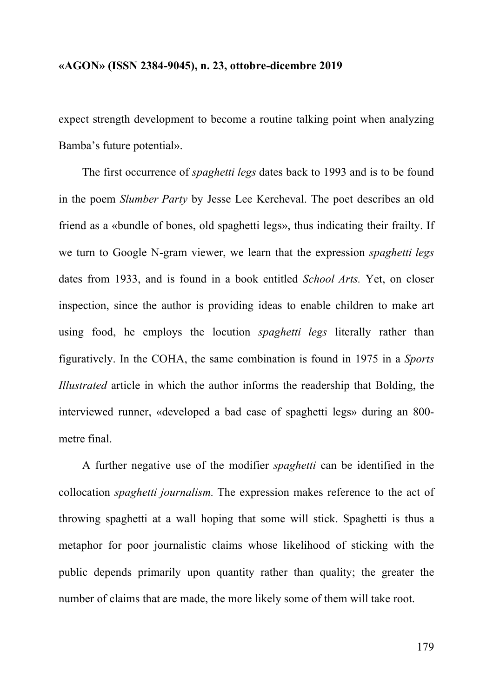expect strength development to become a routine talking point when analyzing Bamba's future potential».

The first occurrence of *spaghetti legs* dates back to 1993 and is to be found in the poem *Slumber Party* by Jesse Lee Kercheval. The poet describes an old friend as a «bundle of bones, old spaghetti legs», thus indicating their frailty. If we turn to Google N-gram viewer, we learn that the expression *spaghetti legs* dates from 1933, and is found in a book entitled *School Arts.* Yet, on closer inspection, since the author is providing ideas to enable children to make art using food, he employs the locution *spaghetti legs* literally rather than figuratively. In the COHA, the same combination is found in 1975 in a *Sports Illustrated* article in which the author informs the readership that Bolding, the interviewed runner, «developed a bad case of spaghetti legs» during an 800 metre final.

A further negative use of the modifier *spaghetti* can be identified in the collocation *spaghetti journalism.* The expression makes reference to the act of throwing spaghetti at a wall hoping that some will stick. Spaghetti is thus a metaphor for poor journalistic claims whose likelihood of sticking with the public depends primarily upon quantity rather than quality; the greater the number of claims that are made, the more likely some of them will take root.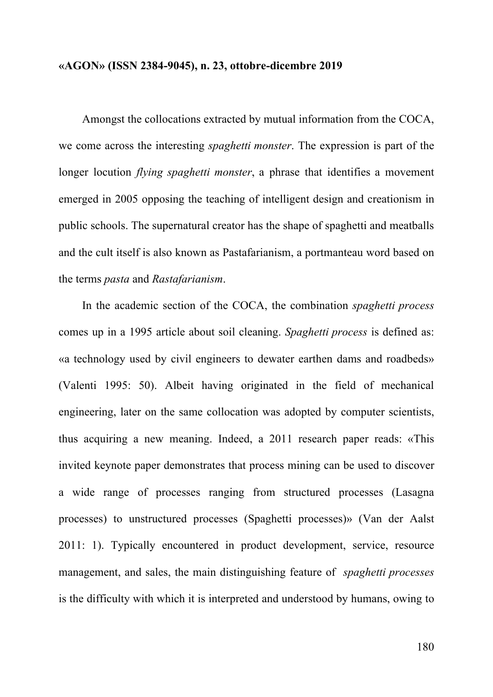Amongst the collocations extracted by mutual information from the COCA, we come across the interesting *spaghetti monster*. The expression is part of the longer locution *flying spaghetti monster*, a phrase that identifies a movement emerged in 2005 opposing the teaching of intelligent design and creationism in public schools. The supernatural creator has the shape of spaghetti and meatballs and the cult itself is also known as Pastafarianism, a portmanteau word based on the terms *pasta* and *Rastafarianism*.

In the academic section of the COCA, the combination *spaghetti process* comes up in a 1995 article about soil cleaning. *Spaghetti process* is defined as: «a technology used by civil engineers to dewater earthen dams and roadbeds» (Valenti 1995: 50). Albeit having originated in the field of mechanical engineering, later on the same collocation was adopted by computer scientists, thus acquiring a new meaning. Indeed, a 2011 research paper reads: «This invited keynote paper demonstrates that process mining can be used to discover a wide range of processes ranging from structured processes (Lasagna processes) to unstructured processes (Spaghetti processes)» (Van der Aalst 2011: 1). Typically encountered in product development, service, resource management, and sales, the main distinguishing feature of *spaghetti processes* is the difficulty with which it is interpreted and understood by humans, owing to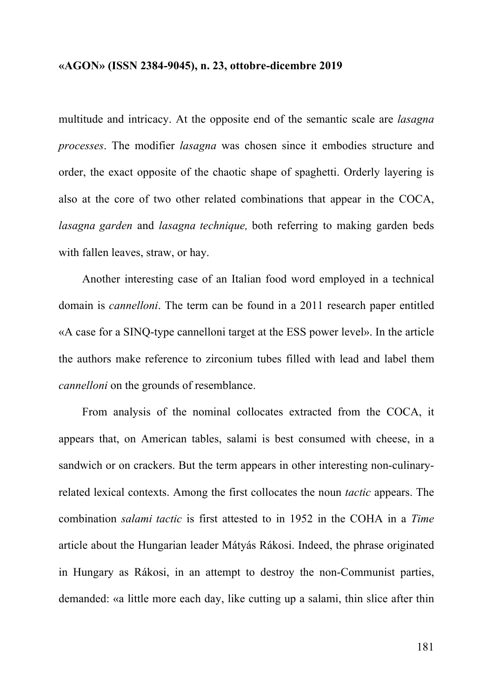multitude and intricacy. At the opposite end of the semantic scale are *lasagna processes*. The modifier *lasagna* was chosen since it embodies structure and order, the exact opposite of the chaotic shape of spaghetti. Orderly layering is also at the core of two other related combinations that appear in the COCA, *lasagna garden* and *lasagna technique,* both referring to making garden beds with fallen leaves, straw, or hay.

Another interesting case of an Italian food word employed in a technical domain is *cannelloni*. The term can be found in a 2011 research paper entitled «A case for a SINQ-type cannelloni target at the ESS power level». In the article the authors make reference to zirconium tubes filled with lead and label them *cannelloni* on the grounds of resemblance.

From analysis of the nominal collocates extracted from the COCA, it appears that, on American tables, salami is best consumed with cheese, in a sandwich or on crackers. But the term appears in other interesting non-culinaryrelated lexical contexts. Among the first collocates the noun *tactic* appears. The combination *salami tactic* is first attested to in 1952 in the COHA in a *Time* article about the Hungarian leader Mátyás Rákosi. Indeed, the phrase originated in Hungary as Rákosi, in an attempt to destroy the non-Communist parties, demanded: «a little more each day, like cutting up a salami, thin slice after thin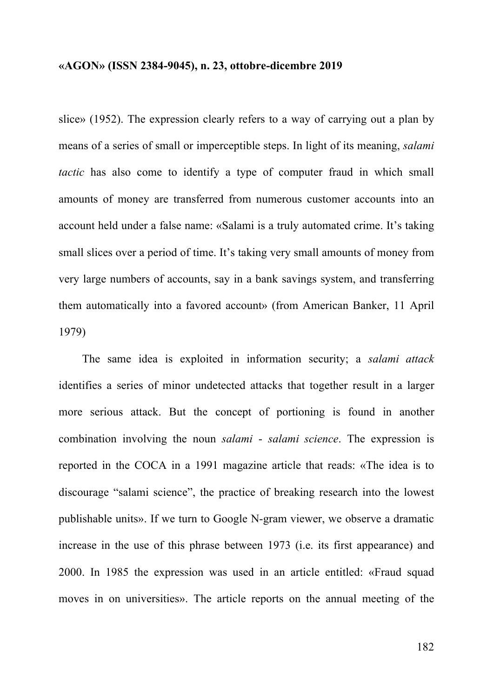slice» (1952). The expression clearly refers to a way of carrying out a plan by means of a series of small or imperceptible steps. In light of its meaning, *salami tactic* has also come to identify a type of computer fraud in which small amounts of money are transferred from numerous customer accounts into an account held under a false name: «Salami is a truly automated crime. It's taking small slices over a period of time. It's taking very small amounts of money from very large numbers of accounts, say in a bank savings system, and transferring them automatically into a favored account» (from American Banker, 11 April 1979)

The same idea is exploited in information security; a *salami attack* identifies a series of minor undetected attacks that together result in a larger more serious attack. But the concept of portioning is found in another combination involving the noun *salami* - *salami science*. The expression is reported in the COCA in a 1991 magazine article that reads: «The idea is to discourage "salami science", the practice of breaking research into the lowest publishable units». If we turn to Google N-gram viewer, we observe a dramatic increase in the use of this phrase between 1973 (i.e. its first appearance) and 2000. In 1985 the expression was used in an article entitled: «Fraud squad moves in on universities». The article reports on the annual meeting of the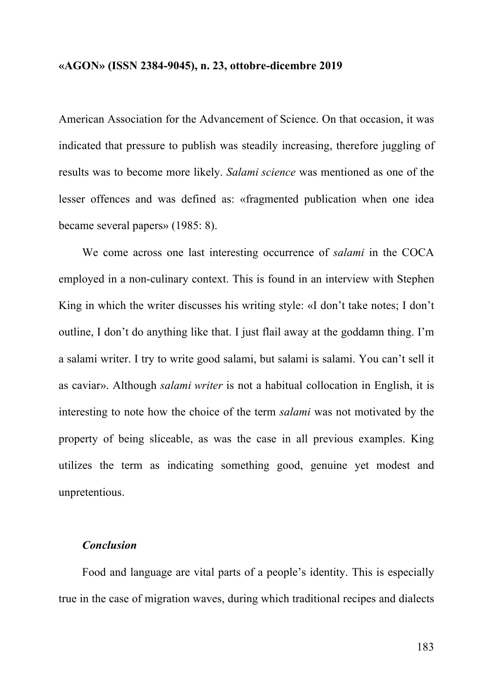American Association for the Advancement of Science. On that occasion, it was indicated that pressure to publish was steadily increasing, therefore juggling of results was to become more likely. *Salami science* was mentioned as one of the lesser offences and was defined as: «fragmented publication when one idea became several papers» (1985: 8).

We come across one last interesting occurrence of *salami* in the COCA employed in a non-culinary context. This is found in an interview with Stephen King in which the writer discusses his writing style: «I don't take notes; I don't outline, I don't do anything like that. I just flail away at the goddamn thing. I'm a salami writer. I try to write good salami, but salami is salami. You can't sell it as caviar». Although *salami writer* is not a habitual collocation in English, it is interesting to note how the choice of the term *salami* was not motivated by the property of being sliceable, as was the case in all previous examples. King utilizes the term as indicating something good, genuine yet modest and unpretentious.

#### *Conclusion*

Food and language are vital parts of a people's identity. This is especially true in the case of migration waves, during which traditional recipes and dialects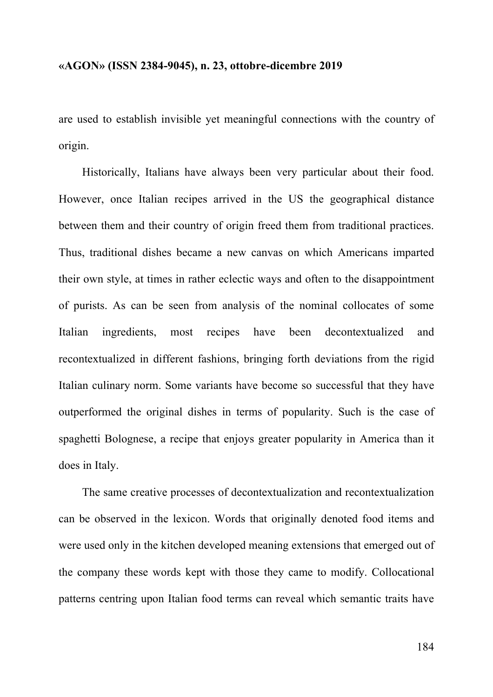are used to establish invisible yet meaningful connections with the country of origin.

Historically, Italians have always been very particular about their food. However, once Italian recipes arrived in the US the geographical distance between them and their country of origin freed them from traditional practices. Thus, traditional dishes became a new canvas on which Americans imparted their own style, at times in rather eclectic ways and often to the disappointment of purists. As can be seen from analysis of the nominal collocates of some Italian ingredients, most recipes have been decontextualized and recontextualized in different fashions, bringing forth deviations from the rigid Italian culinary norm. Some variants have become so successful that they have outperformed the original dishes in terms of popularity. Such is the case of spaghetti Bolognese, a recipe that enjoys greater popularity in America than it does in Italy.

The same creative processes of decontextualization and recontextualization can be observed in the lexicon. Words that originally denoted food items and were used only in the kitchen developed meaning extensions that emerged out of the company these words kept with those they came to modify. Collocational patterns centring upon Italian food terms can reveal which semantic traits have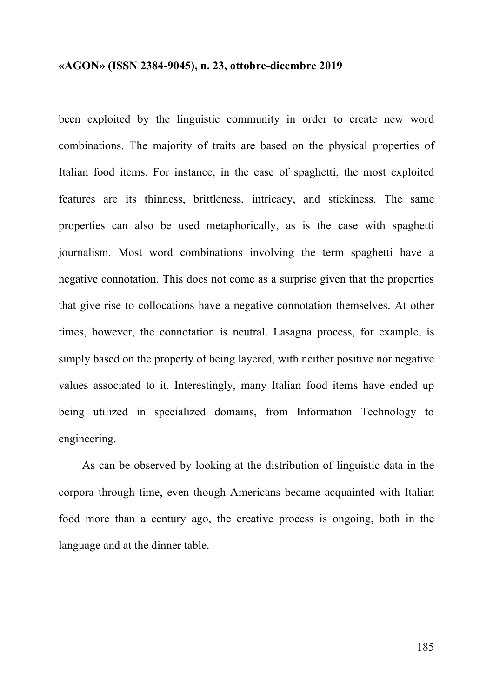been exploited by the linguistic community in order to create new word combinations. The majority of traits are based on the physical properties of Italian food items. For instance, in the case of spaghetti, the most exploited features are its thinness, brittleness, intricacy, and stickiness. The same properties can also be used metaphorically, as is the case with spaghetti journalism. Most word combinations involving the term spaghetti have a negative connotation. This does not come as a surprise given that the properties that give rise to collocations have a negative connotation themselves. At other times, however, the connotation is neutral. Lasagna process, for example, is simply based on the property of being layered, with neither positive nor negative values associated to it. Interestingly, many Italian food items have ended up being utilized in specialized domains, from Information Technology to engineering.

As can be observed by looking at the distribution of linguistic data in the corpora through time, even though Americans became acquainted with Italian food more than a century ago, the creative process is ongoing, both in the language and at the dinner table.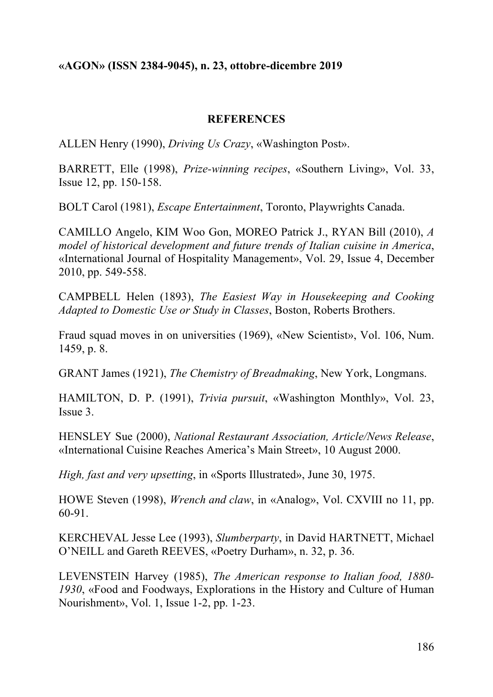## **REFERENCES**

ALLEN Henry (1990), *Driving Us Crazy*, «Washington Post».

BARRETT, Elle (1998), *Prize-winning recipes*, «Southern Living», Vol. 33, Issue 12, pp. 150-158.

BOLT Carol (1981), *Escape Entertainment*, Toronto, Playwrights Canada.

CAMILLO Angelo, KIM Woo Gon, MOREO Patrick J., RYAN Bill (2010), *A model of historical development and future trends of Italian cuisine in America*, «International Journal of Hospitality Management», Vol. 29, Issue 4, December 2010, pp. 549-558.

CAMPBELL Helen (1893), *The Easiest Way in Housekeeping and Cooking Adapted to Domestic Use or Study in Classes*, Boston, Roberts Brothers.

Fraud squad moves in on universities (1969), «New Scientist», Vol. 106, Num. 1459, p. 8.

GRANT James (1921), *The Chemistry of Breadmaking*, New York, Longmans.

HAMILTON, D. P. (1991), *Trivia pursuit*, «Washington Monthly», Vol. 23, Issue 3.

HENSLEY Sue (2000), *National Restaurant Association, Article/News Release*, «International Cuisine Reaches America's Main Street», 10 August 2000.

*High, fast and very upsetting*, in «Sports Illustrated», June 30, 1975.

HOWE Steven (1998), *Wrench and claw*, in «Analog», Vol. CXVIII no 11, pp. 60-91.

KERCHEVAL Jesse Lee (1993), *Slumberparty*, in David HARTNETT, Michael O'NEILL and Gareth REEVES, «Poetry Durham», n. 32, p. 36.

LEVENSTEIN Harvey (1985), *The American response to Italian food, 1880- 1930*, «Food and Foodways, Explorations in the History and Culture of Human Nourishment», Vol. 1, Issue 1-2, pp. 1-23.